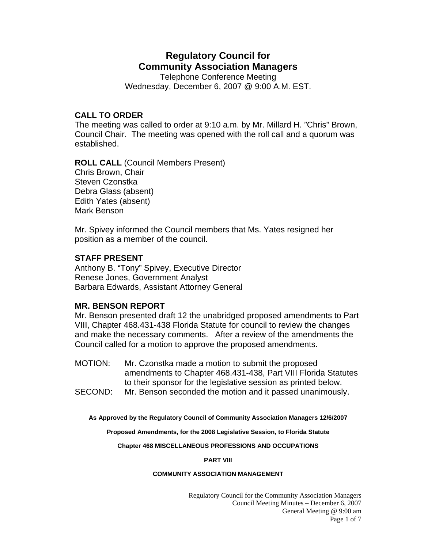# **Regulatory Council for Community Association Managers**

Telephone Conference Meeting Wednesday, December 6, 2007 @ 9:00 A.M. EST.

# **CALL TO ORDER**

The meeting was called to order at 9:10 a.m. by Mr. Millard H. "Chris" Brown, Council Chair. The meeting was opened with the roll call and a quorum was established.

**ROLL CALL** (Council Members Present) Chris Brown, Chair Steven Czonstka Debra Glass (absent) Edith Yates (absent) Mark Benson

Mr. Spivey informed the Council members that Ms. Yates resigned her position as a member of the council.

# **STAFF PRESENT**

Anthony B. "Tony" Spivey, Executive Director Renese Jones, Government Analyst Barbara Edwards, Assistant Attorney General

## **MR. BENSON REPORT**

Mr. Benson presented draft 12 the unabridged proposed amendments to Part VIII, Chapter 468.431-438 Florida Statute for council to review the changes and make the necessary comments. After a review of the amendments the Council called for a motion to approve the proposed amendments.

MOTION: Mr. Czonstka made a motion to submit the proposed amendments to Chapter 468.431-438, Part VIII Florida Statutes to their sponsor for the legislative session as printed below.

SECOND: Mr. Benson seconded the motion and it passed unanimously.

**As Approved by the Regulatory Council of Community Association Managers 12/6/2007** 

**Proposed Amendments, for the 2008 Legislative Session, to Florida Statute** 

**Chapter 468 MISCELLANEOUS PROFESSIONS AND OCCUPATIONS** 

### **PART VIII**

### **COMMUNITY ASSOCIATION MANAGEMENT**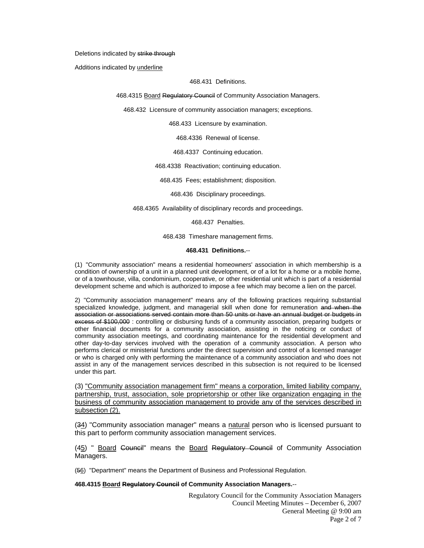#### Deletions indicated by strike through

Additions indicated by underline

#### 468.431 Definitions.

468.4315 Board Regulatory Council of Community Association Managers.

468.432 Licensure of community association managers; exceptions.

468.433 Licensure by examination.

468.4336 Renewal of license.

468.4337 Continuing education.

468.4338 Reactivation; continuing education.

468.435 Fees; establishment; disposition.

468.436 Disciplinary proceedings.

468.4365 Availability of disciplinary records and proceedings.

468.437 Penalties.

468.438 Timeshare management firms.

#### **468.431 Definitions.**--

(1) "Community association" means a residential homeowners' association in which membership is a condition of ownership of a unit in a planned unit development, or of a lot for a home or a mobile home, or of a townhouse, villa, condominium, cooperative, or other residential unit which is part of a residential development scheme and which is authorized to impose a fee which may become a lien on the parcel.

2) "Community association management" means any of the following practices requiring substantial specialized knowledge, judgment, and managerial skill when done for remuneration and when the association or associations served contain more than 50 units or have an annual budget or budgets in excess of \$100,000 : controlling or disbursing funds of a community association, preparing budgets or other financial documents for a community association, assisting in the noticing or conduct of community association meetings, and coordinating maintenance for the residential development and other day-to-day services involved with the operation of a community association. A person who performs clerical or ministerial functions under the direct supervision and control of a licensed manager or who is charged only with performing the maintenance of a community association and who does not assist in any of the management services described in this subsection is not required to be licensed under this part.

(3) "Community association management firm" means a corporation, limited liability company, partnership, trust, association, sole proprietorship or other like organization engaging in the business of community association management to provide any of the services described in subsection (2).

(34) "Community association manager" means a natural person who is licensed pursuant to this part to perform community association management services.

(45) " Board Council" means the Board Regulatory Council of Community Association Managers.

(56) "Department" means the Department of Business and Professional Regulation.

#### **468.4315 Board Regulatory Council of Community Association Managers.**--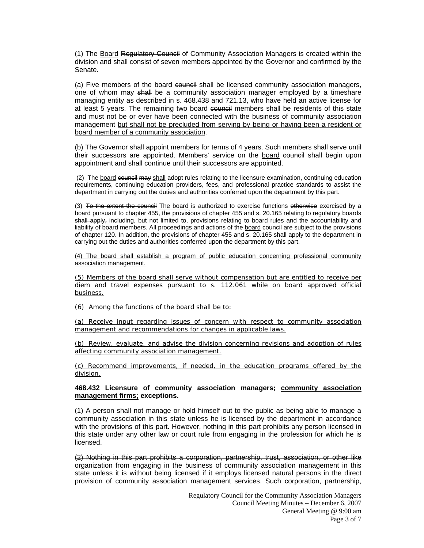(1) The Board Regulatory Council of Community Association Managers is created within the division and shall consist of seven members appointed by the Governor and confirmed by the Senate.

(a) Five members of the board council shall be licensed community association managers, one of whom may shall be a community association manager employed by a timeshare managing entity as described in s. 468.438 and 721.13, who have held an active license for at least 5 years. The remaining two board council members shall be residents of this state and must not be or ever have been connected with the business of community association management but shall not be precluded from serving by being or having been a resident or board member of a community association.

(b) The Governor shall appoint members for terms of 4 years. Such members shall serve until their successors are appointed. Members' service on the board council shall begin upon appointment and shall continue until their successors are appointed.

(2) The board council may shall adopt rules relating to the licensure examination, continuing education requirements, continuing education providers, fees, and professional practice standards to assist the department in carrying out the duties and authorities conferred upon the department by this part.

(3) To the extent the council The board is authorized to exercise functions otherwise exercised by a board pursuant to chapter 455, the provisions of chapter 455 and s. 20.165 relating to regulatory boards shall apply, including, but not limited to, provisions relating to board rules and the accountability and liability of board members. All proceedings and actions of the board council are subject to the provisions of chapter 120. In addition, the provisions of chapter 455 and s. 20.165 shall apply to the department in carrying out the duties and authorities conferred upon the department by this part.

(4) The board shall establish a program of public education concerning professional community association management.

(5) Members of the board shall serve without compensation but are entitled to receive per diem and travel expenses pursuant to s. 112.061 while on board approved official business.

(6) Among the functions of the board shall be to:

(a) Receive input regarding issues of concern with respect to community association management and recommendations for changes in applicable laws.

(b) Review, evaluate, and advise the division concerning revisions and adoption of rules affecting community association management.

(c) Recommend improvements, if needed, in the education programs offered by the division.

### **468.432 Licensure of community association managers; community association management firms; exceptions.**

(1) A person shall not manage or hold himself out to the public as being able to manage a community association in this state unless he is licensed by the department in accordance with the provisions of this part. However, nothing in this part prohibits any person licensed in this state under any other law or court rule from engaging in the profession for which he is licensed.

(2) Nothing in this part prohibits a corporation, partnership, trust, association, or other like organization from engaging in the business of community association management in this state unless it is without being licensed if it employs licensed natural persons in the direct provision of community association management services. Such corporation, partnership,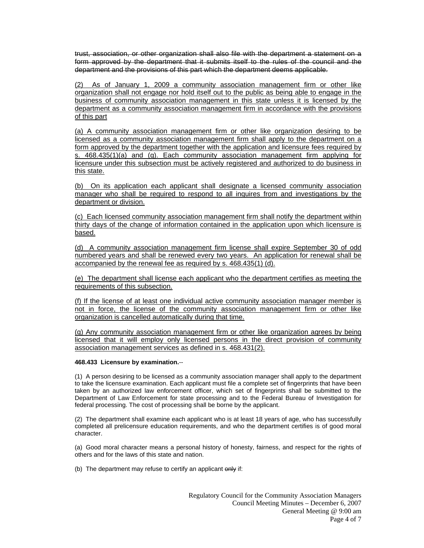trust, association, or other organization shall also file with the department a statement on a form approved by the department that it submits itself to the rules of the council and the department and the provisions of this part which the department deems applicable.

(2) As of January 1, 2009 a community association management firm or other like organization shall not engage nor hold itself out to the public as being able to engage in the business of community association management in this state unless it is licensed by the department as a community association management firm in accordance with the provisions of this part

(a) A community association management firm or other like organization desiring to be licensed as a community association management firm shall apply to the department on a form approved by the department together with the application and licensure fees required by s. 468.435(1)(a) and (g). Each community association management firm applying for licensure under this subsection must be actively registered and authorized to do business in this state.

(b) On its application each applicant shall designate a licensed community association manager who shall be required to respond to all inquires from and investigations by the department or division.

(c) Each licensed community association management firm shall notify the department within thirty days of the change of information contained in the application upon which licensure is based.

(d) A community association management firm license shall expire September 30 of odd numbered years and shall be renewed every two years. An application for renewal shall be accompanied by the renewal fee as required by s. 468.435(1) (d).

(e) The department shall license each applicant who the department certifies as meeting the requirements of this subsection.

(f) If the license of at least one individual active community association manager member is not in force, the license of the community association management firm or other like organization is cancelled automatically during that time.

(g) Any community association management firm or other like organization agrees by being licensed that it will employ only licensed persons in the direct provision of community association management services as defined in s. 468.431(2).

#### **468.433 Licensure by examination.**--

(1) A person desiring to be licensed as a community association manager shall apply to the department to take the licensure examination. Each applicant must file a complete set of fingerprints that have been taken by an authorized law enforcement officer, which set of fingerprints shall be submitted to the Department of Law Enforcement for state processing and to the Federal Bureau of Investigation for federal processing. The cost of processing shall be borne by the applicant.

(2) The department shall examine each applicant who is at least 18 years of age, who has successfully completed all prelicensure education requirements, and who the department certifies is of good moral character.

(a) Good moral character means a personal history of honesty, fairness, and respect for the rights of others and for the laws of this state and nation.

(b) The department may refuse to certify an applicant only if: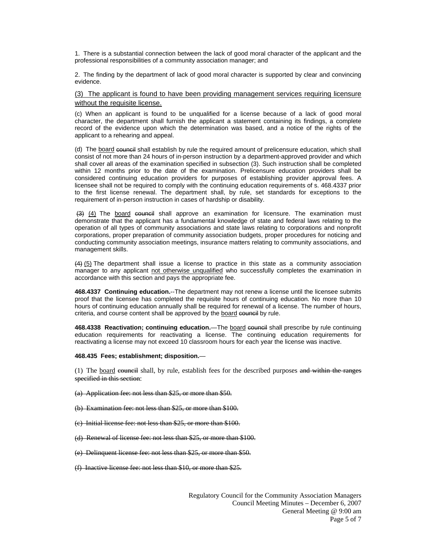1. There is a substantial connection between the lack of good moral character of the applicant and the professional responsibilities of a community association manager; and

2. The finding by the department of lack of good moral character is supported by clear and convincing evidence.

#### (3) The applicant is found to have been providing management services requiring licensure without the requisite license.

(c) When an applicant is found to be unqualified for a license because of a lack of good moral character, the department shall furnish the applicant a statement containing its findings, a complete record of the evidence upon which the determination was based, and a notice of the rights of the applicant to a rehearing and appeal.

(d) The board council shall establish by rule the required amount of prelicensure education, which shall consist of not more than 24 hours of in-person instruction by a department-approved provider and which shall cover all areas of the examination specified in subsection (3). Such instruction shall be completed within 12 months prior to the date of the examination. Prelicensure education providers shall be considered continuing education providers for purposes of establishing provider approval fees. A licensee shall not be required to comply with the continuing education requirements of s. 468.4337 prior to the first license renewal. The department shall, by rule, set standards for exceptions to the requirement of in-person instruction in cases of hardship or disability.

 $(3)$  (4) The board council shall approve an examination for licensure. The examination must demonstrate that the applicant has a fundamental knowledge of state and federal laws relating to the operation of all types of community associations and state laws relating to corporations and nonprofit corporations, proper preparation of community association budgets, proper procedures for noticing and conducting community association meetings, insurance matters relating to community associations, and management skills.

(4) (5) The department shall issue a license to practice in this state as a community association manager to any applicant not otherwise unqualified who successfully completes the examination in accordance with this section and pays the appropriate fee.

**468.4337 Continuing education.**--The department may not renew a license until the licensee submits proof that the licensee has completed the requisite hours of continuing education. No more than 10 hours of continuing education annually shall be required for renewal of a license. The number of hours, criteria, and course content shall be approved by the board council by rule.

468.4338 Reactivation; continuing education.—The board council shall prescribe by rule continuing education requirements for reactivating a license. The continuing education requirements for reactivating a license may not exceed 10 classroom hours for each year the license was inactive.

#### **468.435 Fees; establishment; disposition.**—

(1) The board council shall, by rule, establish fees for the described purposes and within the ranges specified in this section:

- (a) Application fee: not less than \$25, or more than \$50.
- (b) Examination fee: not less than \$25, or more than \$100.
- (c) Initial license fee: not less than \$25, or more than \$100.
- (d) Renewal of license fee: not less than \$25, or more than \$100.
- (e) Delinquent license fee: not less than \$25, or more than \$50.
- (f) Inactive license fee: not less than \$10, or more than \$25.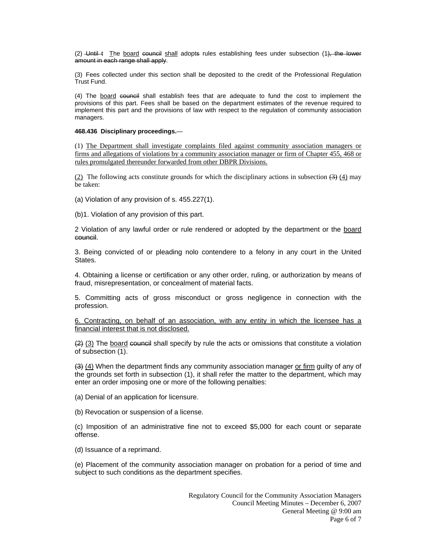(2) Until t The board council shall adopts rules establishing fees under subsection (1), the lower amount in each range shall apply.

(3) Fees collected under this section shall be deposited to the credit of the Professional Regulation Trust Fund.

(4) The board council shall establish fees that are adequate to fund the cost to implement the provisions of this part. Fees shall be based on the department estimates of the revenue required to implement this part and the provisions of law with respect to the regulation of community association managers.

#### **468.436 Disciplinary proceedings.**—

(1) The Department shall investigate complaints filed against community association managers or firms and allegations of violations by a community association manager or firm of Chapter 455, 468 or rules promulgated thereunder forwarded from other DBPR Divisions.

(2) The following acts constitute grounds for which the disciplinary actions in subsection  $(3)$  (4) may be taken:

(a) Violation of any provision of s. 455.227(1).

(b)1. Violation of any provision of this part.

2 Violation of any lawful order or rule rendered or adopted by the department or the board council.

3. Being convicted of or pleading nolo contendere to a felony in any court in the United States.

4. Obtaining a license or certification or any other order, ruling, or authorization by means of fraud, misrepresentation, or concealment of material facts.

5. Committing acts of gross misconduct or gross negligence in connection with the profession.

6. Contracting, on behalf of an association, with any entity in which the licensee has a financial interest that is not disclosed.

 $(2)$  (3) The board council shall specify by rule the acts or omissions that constitute a violation of subsection (1).

(3) (4) When the department finds any community association manager or firm guilty of any of the grounds set forth in subsection (1), it shall refer the matter to the department, which may enter an order imposing one or more of the following penalties:

(a) Denial of an application for licensure.

(b) Revocation or suspension of a license.

(c) Imposition of an administrative fine not to exceed \$5,000 for each count or separate offense.

(d) Issuance of a reprimand.

(e) Placement of the community association manager on probation for a period of time and subject to such conditions as the department specifies.